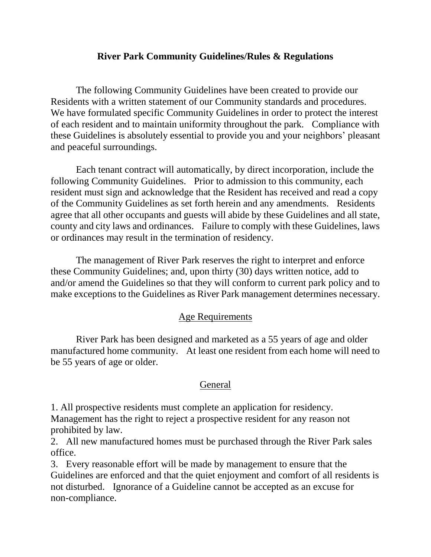### **River Park Community Guidelines/Rules & Regulations**

The following Community Guidelines have been created to provide our Residents with a written statement of our Community standards and procedures. We have formulated specific Community Guidelines in order to protect the interest of each resident and to maintain uniformity throughout the park. Compliance with these Guidelines is absolutely essential to provide you and your neighbors' pleasant and peaceful surroundings.

Each tenant contract will automatically, by direct incorporation, include the following Community Guidelines. Prior to admission to this community, each resident must sign and acknowledge that the Resident has received and read a copy of the Community Guidelines as set forth herein and any amendments. Residents agree that all other occupants and guests will abide by these Guidelines and all state, county and city laws and ordinances. Failure to comply with these Guidelines, laws or ordinances may result in the termination of residency.

The management of River Park reserves the right to interpret and enforce these Community Guidelines; and, upon thirty (30) days written notice, add to and/or amend the Guidelines so that they will conform to current park policy and to make exceptions to the Guidelines as River Park management determines necessary.

#### Age Requirements

River Park has been designed and marketed as a 55 years of age and older manufactured home community. At least one resident from each home will need to be 55 years of age or older.

#### General

1. All prospective residents must complete an application for residency. Management has the right to reject a prospective resident for any reason not prohibited by law.

2. All new manufactured homes must be purchased through the River Park sales office.

3. Every reasonable effort will be made by management to ensure that the Guidelines are enforced and that the quiet enjoyment and comfort of all residents is not disturbed. Ignorance of a Guideline cannot be accepted as an excuse for non-compliance.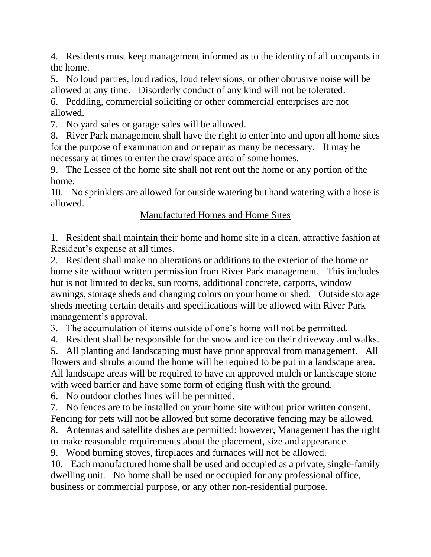4. Residents must keep management informed as to the identity of all occupants in the home.

5. No loud parties, loud radios, loud televisions, or other obtrusive noise will be allowed at any time. Disorderly conduct of any kind will not be tolerated.

6. Peddling, commercial soliciting or other commercial enterprises are not allowed.

7. No yard sales or garage sales will be allowed.

8. River Park management shall have the right to enter into and upon all home sites for the purpose of examination and or repair as many be necessary. It may be necessary at times to enter the crawlspace area of some homes.

9. The Lessee of the home site shall not rent out the home or any portion of the home.

10. No sprinklers are allowed for outside watering but hand watering with a hose is allowed.

## Manufactured Homes and Home Sites

1. Resident shall maintain their home and home site in a clean, attractive fashion at Resident's expense at all times.

2. Resident shall make no alterations or additions to the exterior of the home or home site without written permission from River Park management. This includes but is not limited to decks, sun rooms, additional concrete, carports, window awnings, storage sheds and changing colors on your home or shed. Outside storage sheds meeting certain details and specifications will be allowed with River Park management's approval.

3. The accumulation of items outside of one's home will not be permitted.

4. Resident shall be responsible for the snow and ice on their driveway and walks.

5. All planting and landscaping must have prior approval from management. All flowers and shrubs around the home will be required to be put in a landscape area. All landscape areas will be required to have an approved mulch or landscape stone with weed barrier and have some form of edging flush with the ground.

6. No outdoor clothes lines will be permitted.

7. No fences are to be installed on your home site without prior written consent. Fencing for pets will not be allowed but some decorative fencing may be allowed.

8. Antennas and satellite dishes are permitted: however, Management has the right to make reasonable requirements about the placement, size and appearance.

9. Wood burning stoves, fireplaces and furnaces will not be allowed.

10. Each manufactured home shall be used and occupied as a private, single-family dwelling unit. No home shall be used or occupied for any professional office, business or commercial purpose, or any other non-residential purpose.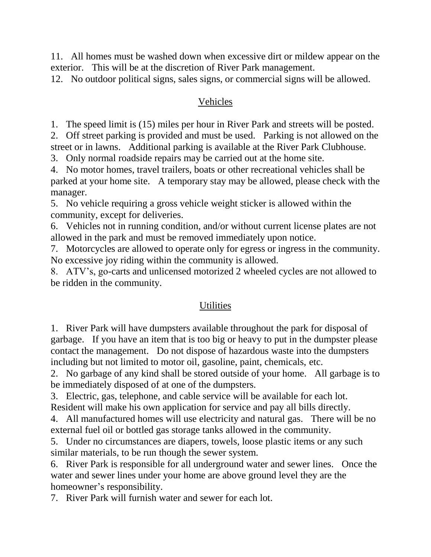11. All homes must be washed down when excessive dirt or mildew appear on the exterior. This will be at the discretion of River Park management.

12. No outdoor political signs, sales signs, or commercial signs will be allowed.

### Vehicles

1. The speed limit is (15) miles per hour in River Park and streets will be posted.

2. Off street parking is provided and must be used. Parking is not allowed on the street or in lawns. Additional parking is available at the River Park Clubhouse.

3. Only normal roadside repairs may be carried out at the home site.

4. No motor homes, travel trailers, boats or other recreational vehicles shall be parked at your home site. A temporary stay may be allowed, please check with the manager.

5. No vehicle requiring a gross vehicle weight sticker is allowed within the community, except for deliveries.

6. Vehicles not in running condition, and/or without current license plates are not allowed in the park and must be removed immediately upon notice.

7. Motorcycles are allowed to operate only for egress or ingress in the community. No excessive joy riding within the community is allowed.

8. ATV's, go-carts and unlicensed motorized 2 wheeled cycles are not allowed to be ridden in the community.

## **Utilities**

1. River Park will have dumpsters available throughout the park for disposal of garbage. If you have an item that is too big or heavy to put in the dumpster please contact the management. Do not dispose of hazardous waste into the dumpsters including but not limited to motor oil, gasoline, paint, chemicals, etc.

2. No garbage of any kind shall be stored outside of your home. All garbage is to be immediately disposed of at one of the dumpsters.

3. Electric, gas, telephone, and cable service will be available for each lot. Resident will make his own application for service and pay all bills directly.

4. All manufactured homes will use electricity and natural gas. There will be no external fuel oil or bottled gas storage tanks allowed in the community.

5. Under no circumstances are diapers, towels, loose plastic items or any such similar materials, to be run though the sewer system.

6. River Park is responsible for all underground water and sewer lines. Once the water and sewer lines under your home are above ground level they are the homeowner's responsibility.

7. River Park will furnish water and sewer for each lot.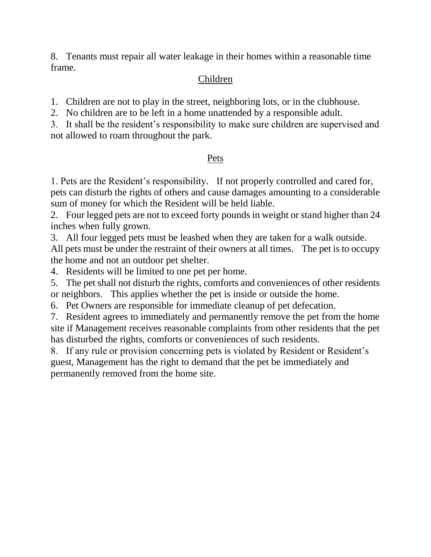8. Tenants must repair all water leakage in their homes within a reasonable time frame.

## Children

1. Children are not to play in the street, neighboring lots, or in the clubhouse.

2. No children are to be left in a home unattended by a responsible adult.

3. It shall be the resident's responsibility to make sure children are supervised and not allowed to roam throughout the park.

# Pets

1. Pets are the Resident's responsibility. If not properly controlled and cared for, pets can disturb the rights of others and cause damages amounting to a considerable sum of money for which the Resident will be held liable.

2. Four legged pets are not to exceed forty pounds in weight or stand higher than 24 inches when fully grown.

3. All four legged pets must be leashed when they are taken for a walk outside. All pets must be under the restraint of their owners at all times. The pet is to occupy the home and not an outdoor pet shelter.

4. Residents will be limited to one pet per home.

5. The pet shall not disturb the rights, comforts and conveniences of other residents or neighbors. This applies whether the pet is inside or outside the home.

6. Pet Owners are responsible for immediate cleanup of pet defecation.

7. Resident agrees to immediately and permanently remove the pet from the home site if Management receives reasonable complaints from other residents that the pet has disturbed the rights, comforts or conveniences of such residents.

8. If any rule or provision concerning pets is violated by Resident or Resident's guest, Management has the right to demand that the pet be immediately and permanently removed from the home site.